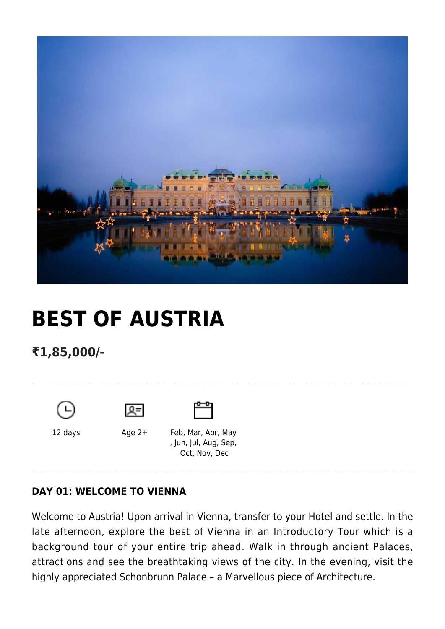

# **[BEST OF AUSTRIA](https://www.mylastminutetrip.com/tour/best-of-austria/)**

## **₹1,85,000/-**







12 days Age 2+ Feb, Mar, Apr, May , Jun, Jul, Aug, Sep, Oct, Nov, Dec

## **DAY 01: WELCOME TO VIENNA**

Welcome to Austria! Upon arrival in Vienna, transfer to your Hotel and settle. In the late afternoon, explore the best of Vienna in an Introductory Tour which is a background tour of your entire trip ahead. Walk in through ancient Palaces, attractions and see the breathtaking views of the city. In the evening, visit the highly appreciated Schonbrunn Palace – a Marvellous piece of Architecture.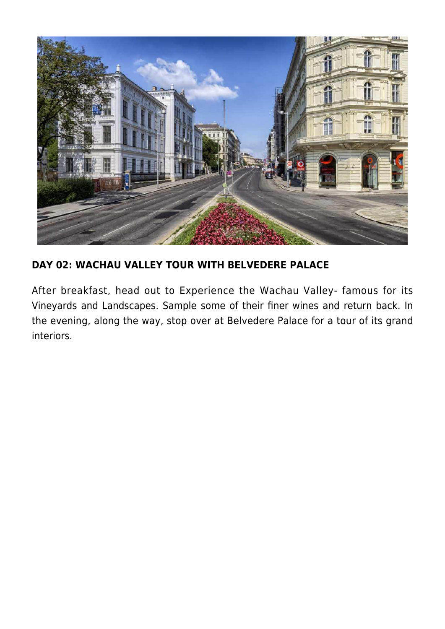

## **DAY 02: WACHAU VALLEY TOUR WITH BELVEDERE PALACE**

After breakfast, head out to Experience the Wachau Valley- famous for its Vineyards and Landscapes. Sample some of their finer wines and return back. In the evening, along the way, stop over at Belvedere Palace for a tour of its grand interiors.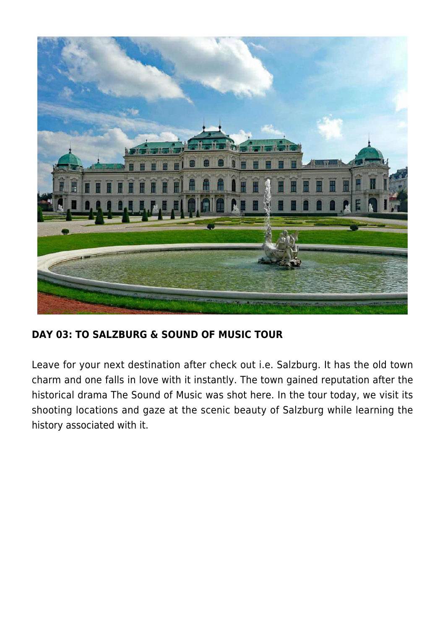

## **DAY 03: TO SALZBURG & SOUND OF MUSIC TOUR**

Leave for your next destination after check out i.e. Salzburg. It has the old town charm and one falls in love with it instantly. The town gained reputation after the historical drama The Sound of Music was shot here. In the tour today, we visit its shooting locations and gaze at the scenic beauty of Salzburg while learning the history associated with it.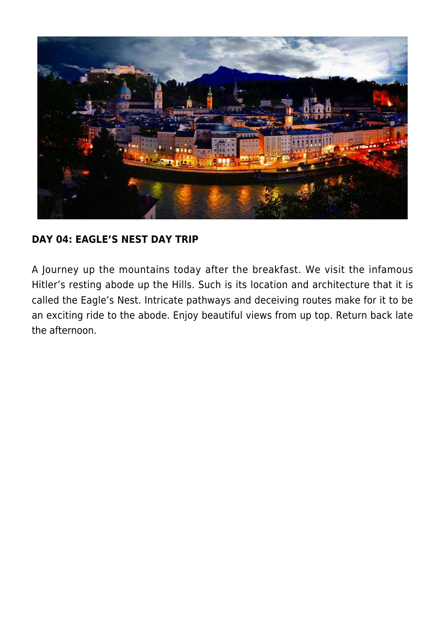

## **DAY 04: EAGLE'S NEST DAY TRIP**

A Journey up the mountains today after the breakfast. We visit the infamous Hitler's resting abode up the Hills. Such is its location and architecture that it is called the Eagle's Nest. Intricate pathways and deceiving routes make for it to be an exciting ride to the abode. Enjoy beautiful views from up top. Return back late the afternoon.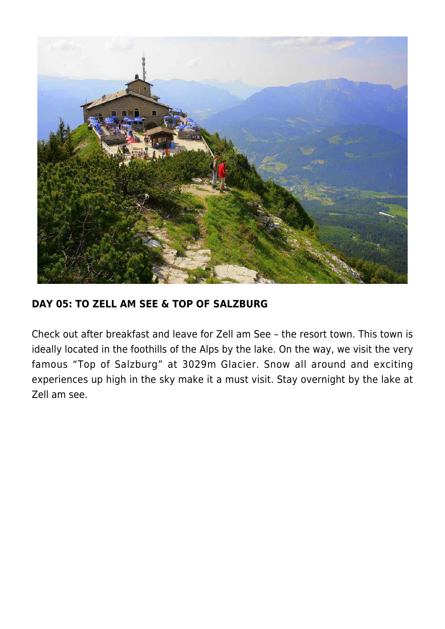

## **DAY 05: TO ZELL AM SEE & TOP OF SALZBURG**

Check out after breakfast and leave for Zell am See – the resort town. This town is ideally located in the foothills of the Alps by the lake. On the way, we visit the very famous "Top of Salzburg" at 3029m Glacier. Snow all around and exciting experiences up high in the sky make it a must visit. Stay overnight by the lake at Zell am see.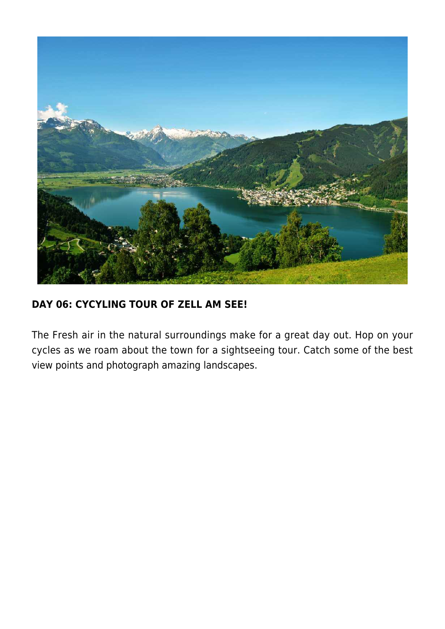

## **DAY 06: CYCYLING TOUR OF ZELL AM SEE!**

The Fresh air in the natural surroundings make for a great day out. Hop on your cycles as we roam about the town for a sightseeing tour. Catch some of the best view points and photograph amazing landscapes.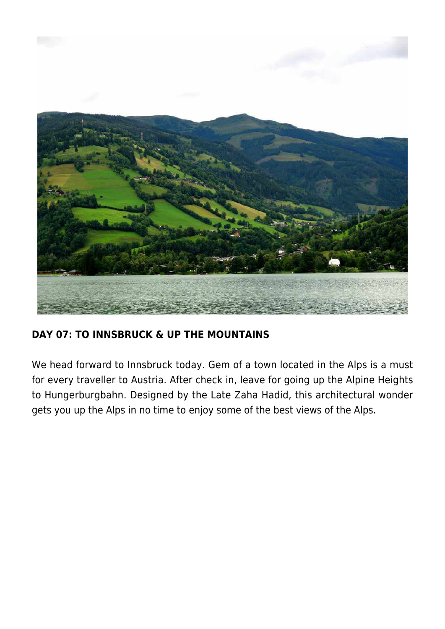

## **DAY 07: TO INNSBRUCK & UP THE MOUNTAINS**

We head forward to Innsbruck today. Gem of a town located in the Alps is a must for every traveller to Austria. After check in, leave for going up the Alpine Heights to Hungerburgbahn. Designed by the Late Zaha Hadid, this architectural wonder gets you up the Alps in no time to enjoy some of the best views of the Alps.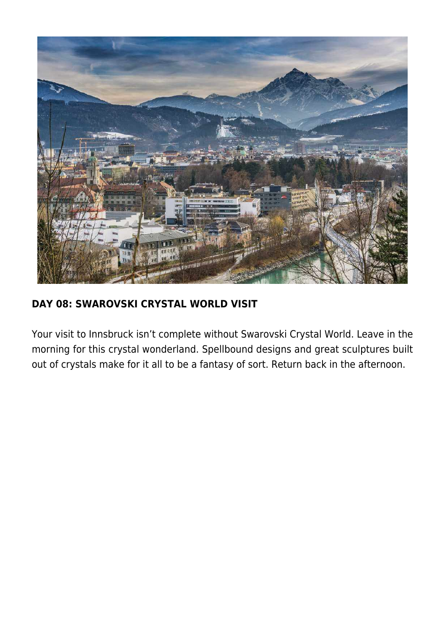

## **DAY 08: SWAROVSKI CRYSTAL WORLD VISIT**

Your visit to Innsbruck isn't complete without Swarovski Crystal World. Leave in the morning for this crystal wonderland. Spellbound designs and great sculptures built out of crystals make for it all to be a fantasy of sort. Return back in the afternoon.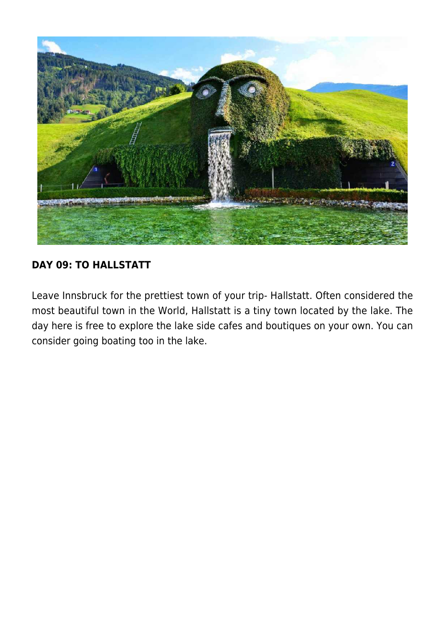

## **DAY 09: TO HALLSTATT**

Leave Innsbruck for the prettiest town of your trip- Hallstatt. Often considered the most beautiful town in the World, Hallstatt is a tiny town located by the lake. The day here is free to explore the lake side cafes and boutiques on your own. You can consider going boating too in the lake.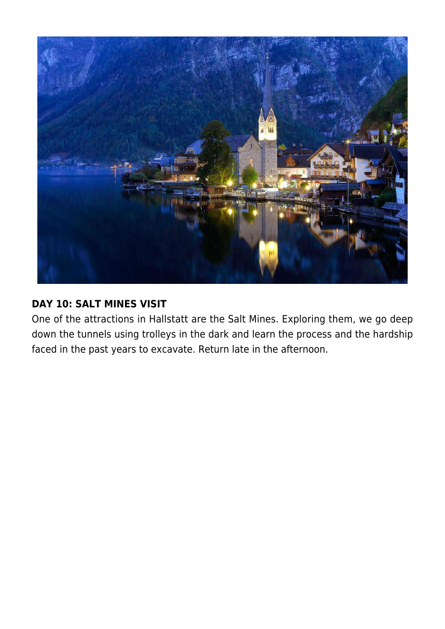

### **DAY 10: SALT MINES VISIT**

One of the attractions in Hallstatt are the Salt Mines. Exploring them, we go deep down the tunnels using trolleys in the dark and learn the process and the hardship faced in the past years to excavate. Return late in the afternoon.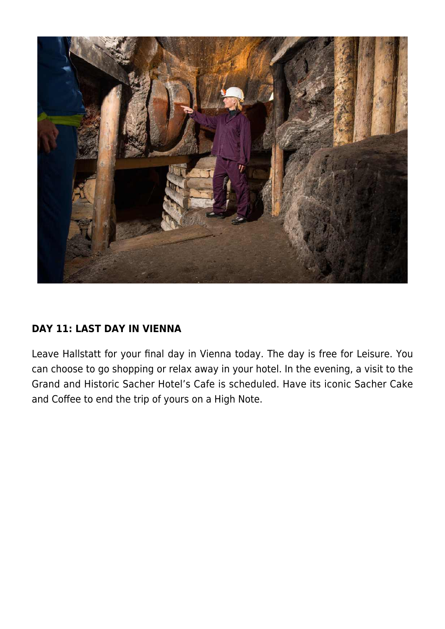

## **DAY 11: LAST DAY IN VIENNA**

Leave Hallstatt for your final day in Vienna today. The day is free for Leisure. You can choose to go shopping or relax away in your hotel. In the evening, a visit to the Grand and Historic Sacher Hotel's Cafe is scheduled. Have its iconic Sacher Cake and Coffee to end the trip of yours on a High Note.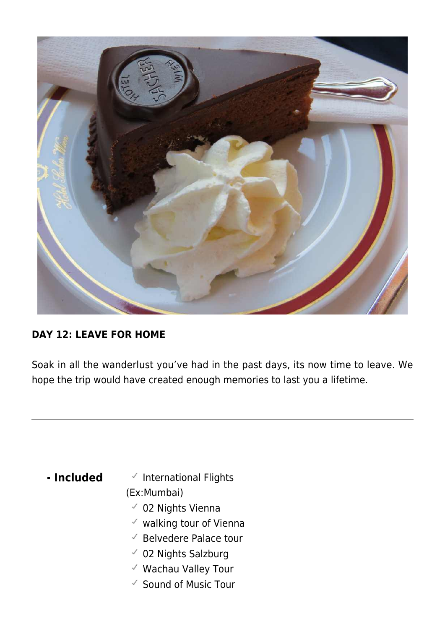

## **DAY 12: LEAVE FOR HOME**

Soak in all the wanderlust you've had in the past days, its now time to leave. We hope the trip would have created enough memories to last you a lifetime.

- **Included** VInternational Flights (Ex:Mumbai)
	- 02 Nights Vienna
	- $\checkmark$  walking tour of Vienna
	- $\checkmark$  Belvedere Palace tour
	- 02 Nights Salzburg
	- Wachau Valley Tour
	- $\checkmark$  Sound of Music Tour